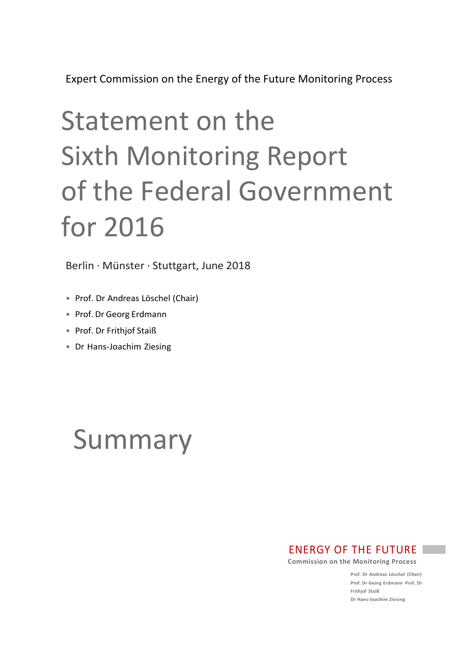Expert Commission on the Energy of the Future Monitoring Process

# Statement on the Sixth Monitoring Report of the Federal Government for 2016

Berlin · Münster · Stuttgart, June 2018

- Prof. Dr Andreas Löschel (Chair)
- Prof. Dr Georg Erdmann
- Prof. Dr Frithjof Staiß
- Dr Hans-Joachim Ziesing

## Summary

### ENERGY OF THE FUTURE

**Commission on the Monitoring Process**

**Prof. Dr Andreas Löschel (Chair) Prof. Dr Georg Erdmann Prof. Dr Frithjof Staiß Dr Hans-Joachim Ziesing**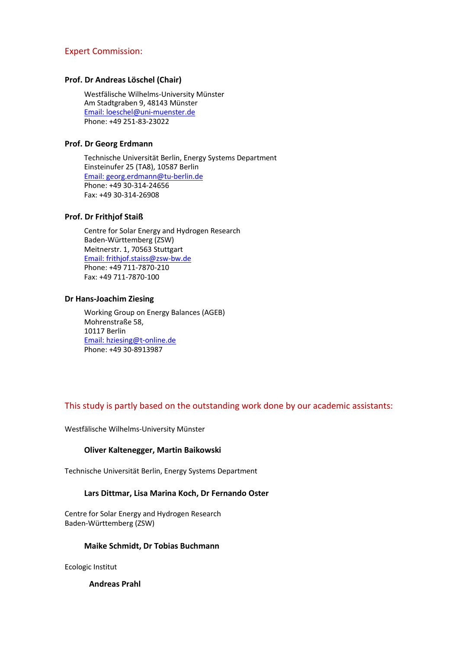#### Expert Commission:

#### **Prof. Dr Andreas Löschel (Chair)**

Westfälische Wilhelms-University Münster Am Stadtgraben 9, 48143 Münster [Email: loeschel@uni-muenster.de](mailto:loeschel@uni-muenster.de) Phone: +49 251-83-23022

#### **Prof. Dr Georg Erdmann**

Technische Universität Berlin, Energy Systems Department Einsteinufer 25 (TA8), 10587 Berlin [Email: georg.erdmann@tu-berlin.de](mailto:georg.erdmann@tu-berlin.de) Phone: +49 30-314-24656 Fax: +49 30-314-26908

#### **Prof. Dr Frithjof Staiß**

Centre for Solar Energy and Hydrogen Research Baden-Württemberg (ZSW) Meitnerstr. 1, 70563 Stuttgart [Email: frithjof.staiss@zsw-bw.de](mailto:frithjof.staiss@zsw-bw.de) Phone: +49 711-7870-210 Fax: +49 711-7870-100

#### **Dr Hans-Joachim Ziesing**

Working Group on Energy Balances (AGEB) Mohrenstraße 58, 10117 Berlin [Email: hziesing@t-online.de](mailto:hziesing@t-online.de) Phone: +49 30-8913987

#### This study is partly based on the outstanding work done by our academic assistants:

Westfälische Wilhelms-University Münster

#### **Oliver Kaltenegger, Martin Baikowski**

Technische Universität Berlin, Energy Systems Department

#### **Lars Dittmar, Lisa Marina Koch, Dr Fernando Oster**

Centre for Solar Energy and Hydrogen Research Baden-Württemberg (ZSW)

#### **Maike Schmidt, Dr Tobias Buchmann**

Ecologic Institut

**Andreas Prahl**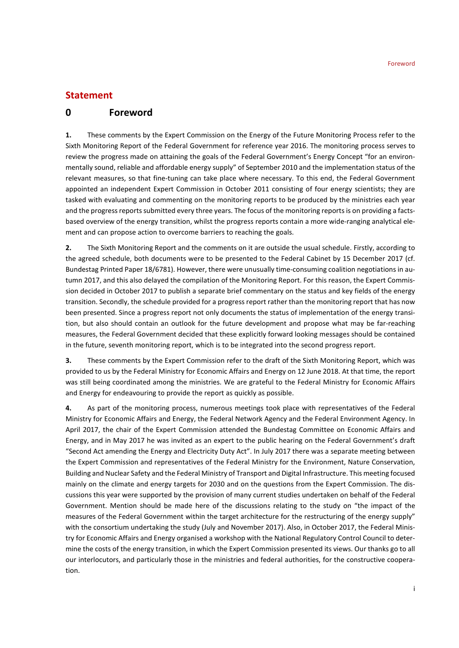#### **Statement**

#### **0 Foreword**

**1.** These comments by the Expert Commission on the Energy of the Future Monitoring Process refer to the Sixth Monitoring Report of the Federal Government for reference year 2016. The monitoring process serves to review the progress made on attaining the goals of the Federal Government's Energy Concept "for an environmentally sound, reliable and affordable energy supply" of September 2010 and the implementation status of the relevant measures, so that fine-tuning can take place where necessary. To this end, the Federal Government appointed an independent Expert Commission in October 2011 consisting of four energy scientists; they are tasked with evaluating and commenting on the monitoring reports to be produced by the ministries each year and the progress reports submitted every three years. The focus of the monitoring reports is on providing a factsbased overview of the energy transition, whilst the progress reports contain a more wide-ranging analytical element and can propose action to overcome barriers to reaching the goals.

**2.** The Sixth Monitoring Report and the comments on it are outside the usual schedule. Firstly, according to the agreed schedule, both documents were to be presented to the Federal Cabinet by 15 December 2017 (cf. Bundestag Printed Paper 18/6781). However, there were unusually time-consuming coalition negotiations in autumn 2017, and this also delayed the compilation of the Monitoring Report. For this reason, the Expert Commission decided in October 2017 to publish a separate brief commentary on the status and key fields of the energy transition. Secondly, the schedule provided for a progress report rather than the monitoring report that has now been presented. Since a progress report not only documents the status of implementation of the energy transition, but also should contain an outlook for the future development and propose what may be far-reaching measures, the Federal Government decided that these explicitly forward looking messages should be contained in the future, seventh monitoring report, which is to be integrated into the second progress report.

**3.** These comments by the Expert Commission refer to the draft of the Sixth Monitoring Report, which was provided to us by the Federal Ministry for Economic Affairs and Energy on 12 June 2018. At that time, the report was still being coordinated among the ministries. We are grateful to the Federal Ministry for Economic Affairs and Energy for endeavouring to provide the report as quickly as possible.

**4.** As part of the monitoring process, numerous meetings took place with representatives of the Federal Ministry for Economic Affairs and Energy, the Federal Network Agency and the Federal Environment Agency. In April 2017, the chair of the Expert Commission attended the Bundestag Committee on Economic Affairs and Energy, and in May 2017 he was invited as an expert to the public hearing on the Federal Government's draft "Second Act amending the Energy and Electricity Duty Act". In July 2017 there was a separate meeting between the Expert Commission and representatives of the Federal Ministry for the Environment, Nature Conservation, Building and Nuclear Safety and the Federal Ministry of Transport and Digital Infrastructure. This meeting focused mainly on the climate and energy targets for 2030 and on the questions from the Expert Commission. The discussions this year were supported by the provision of many current studies undertaken on behalf of the Federal Government. Mention should be made here of the discussions relating to the study on "the impact of the measures of the Federal Government within the target architecture for the restructuring of the energy supply" with the consortium undertaking the study (July and November 2017). Also, in October 2017, the Federal Ministry for Economic Affairs and Energy organised a workshop with the National Regulatory Control Council to determine the costs of the energy transition, in which the Expert Commission presented its views. Our thanks go to all our interlocutors, and particularly those in the ministries and federal authorities, for the constructive cooperation.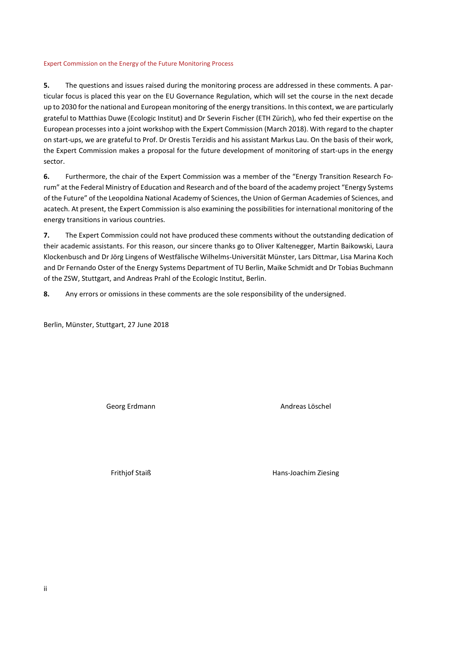#### Expert Commission on the Energy of the Future Monitoring Process

**5.** The questions and issues raised during the monitoring process are addressed in these comments. A particular focus is placed this year on the EU Governance Regulation, which will set the course in the next decade up to 2030 for the national and European monitoring of the energy transitions. In this context, we are particularly grateful to Matthias Duwe (Ecologic Institut) and Dr Severin Fischer (ETH Zürich), who fed their expertise on the European processes into a joint workshop with the Expert Commission (March 2018). With regard to the chapter on start-ups, we are grateful to Prof. Dr Orestis Terzidis and his assistant Markus Lau. On the basis of their work, the Expert Commission makes a proposal for the future development of monitoring of start-ups in the energy sector.

**6.** Furthermore, the chair of the Expert Commission was a member of the "Energy Transition Research Forum" at the Federal Ministry of Education and Research and of the board of the academy project "Energy Systems of the Future" of the Leopoldina National Academy of Sciences, the Union of German Academies of Sciences, and acatech. At present, the Expert Commission is also examining the possibilities for international monitoring of the energy transitions in various countries.

**7.** The Expert Commission could not have produced these comments without the outstanding dedication of their academic assistants. For this reason, our sincere thanks go to Oliver Kaltenegger, Martin Baikowski, Laura Klockenbusch and Dr Jörg Lingens of Westfälische Wilhelms-Universität Münster, Lars Dittmar, Lisa Marina Koch and Dr Fernando Oster of the Energy Systems Department of TU Berlin, Maike Schmidt and Dr Tobias Buchmann of the ZSW, Stuttgart, and Andreas Prahl of the Ecologic Institut, Berlin.

**8.** Any errors or omissions in these comments are the sole responsibility of the undersigned.

Berlin, Münster, Stuttgart, 27 June 2018

Georg Erdmann Andreas Löschel

Frithjof Staiß **Hans-Joachim Ziesing Hans-Joachim Ziesing**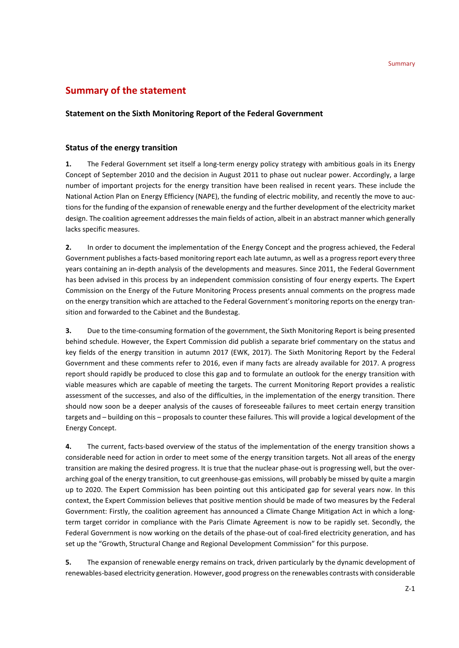#### **Summary of the statement**

#### **Statement on the Sixth Monitoring Report of the Federal Government**

#### **Status of the energy transition**

**1.** The Federal Government set itself a long-term energy policy strategy with ambitious goals in its Energy Concept of September 2010 and the decision in August 2011 to phase out nuclear power. Accordingly, a large number of important projects for the energy transition have been realised in recent years. These include the National Action Plan on Energy Efficiency (NAPE), the funding of electric mobility, and recently the move to auctions for the funding of the expansion of renewable energy and the further development of the electricity market design. The coalition agreement addresses the main fields of action, albeit in an abstract manner which generally lacks specific measures.

**2.** In order to document the implementation of the Energy Concept and the progress achieved, the Federal Government publishes a facts-based monitoring report each late autumn, as well as a progress report every three years containing an in-depth analysis of the developments and measures. Since 2011, the Federal Government has been advised in this process by an independent commission consisting of four energy experts. The Expert Commission on the Energy of the Future Monitoring Process presents annual comments on the progress made on the energy transition which are attached to the Federal Government's monitoring reports on the energy transition and forwarded to the Cabinet and the Bundestag.

**3.** Due to the time-consuming formation of the government, the Sixth Monitoring Report is being presented behind schedule. However, the Expert Commission did publish a separate brief commentary on the status and key fields of the energy transition in autumn 2017 (EWK, 2017). The Sixth Monitoring Report by the Federal Government and these comments refer to 2016, even if many facts are already available for 2017. A progress report should rapidly be produced to close this gap and to formulate an outlook for the energy transition with viable measures which are capable of meeting the targets. The current Monitoring Report provides a realistic assessment of the successes, and also of the difficulties, in the implementation of the energy transition. There should now soon be a deeper analysis of the causes of foreseeable failures to meet certain energy transition targets and – building on this – proposals to counter these failures. This will provide a logical development of the Energy Concept.

**4.** The current, facts-based overview of the status of the implementation of the energy transition shows a considerable need for action in order to meet some of the energy transition targets. Not all areas of the energy transition are making the desired progress. It is true that the nuclear phase-out is progressing well, but the overarching goal of the energy transition, to cut greenhouse-gas emissions, will probably be missed by quite a margin up to 2020. The Expert Commission has been pointing out this anticipated gap for several years now. In this context, the Expert Commission believes that positive mention should be made of two measures by the Federal Government: Firstly, the coalition agreement has announced a Climate Change Mitigation Act in which a longterm target corridor in compliance with the Paris Climate Agreement is now to be rapidly set. Secondly, the Federal Government is now working on the details of the phase-out of coal-fired electricity generation, and has set up the "Growth, Structural Change and Regional Development Commission" for this purpose.

**5.** The expansion of renewable energy remains on track, driven particularly by the dynamic development of renewables-based electricity generation. However, good progress on the renewables contrasts with considerable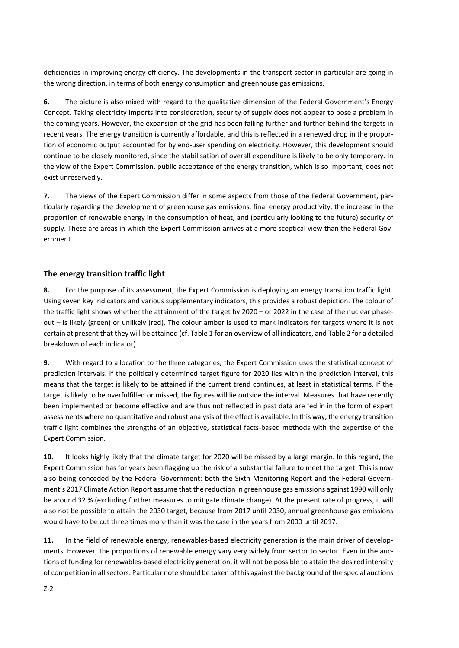deficiencies in improving energy efficiency. The developments in the transport sector in particular are going in the wrong direction, in terms of both energy consumption and greenhouse gas emissions.

**6.** The picture is also mixed with regard to the qualitative dimension of the Federal Government's Energy Concept. Taking electricity imports into consideration, security of supply does not appear to pose a problem in the coming years. However, the expansion of the grid has been falling further and further behind the targets in recent years. The energy transition is currently affordable, and this is reflected in a renewed drop in the proportion of economic output accounted for by end-user spending on electricity. However, this development should continue to be closely monitored, since the stabilisation of overall expenditure is likely to be only temporary. In the view of the Expert Commission, public acceptance of the energy transition, which is so important, does not exist unreservedly.

**7.** The views of the Expert Commission differ in some aspects from those of the Federal Government, particularly regarding the development of greenhouse gas emissions, final energy productivity, the increase in the proportion of renewable energy in the consumption of heat, and (particularly looking to the future) security of supply. These are areas in which the Expert Commission arrives at a more sceptical view than the Federal Government.

#### **The energy transition traffic light**

**8.** For the purpose of its assessment, the Expert Commission is deploying an energy transition traffic light. Using seven key indicators and various supplementary indicators, this provides a robust depiction. The colour of the traffic light shows whether the attainment of the target by 2020 – or 2022 in the case of the nuclear phaseout – is likely (green) or unlikely (red). The colour amber is used to mark indicators for targets where it is not certain at present that they will be attained (cf. Table 1 for an overview of all indicators, and Table 2 for a detailed breakdown of each indicator).

**9.** With regard to allocation to the three categories, the Expert Commission uses the statistical concept of prediction intervals. If the politically determined target figure for 2020 lies within the prediction interval, this means that the target is likely to be attained if the current trend continues, at least in statistical terms. If the target is likely to be overfulfilled or missed, the figures will lie outside the interval. Measures that have recently been implemented or become effective and are thus not reflected in past data are fed in in the form of expert assessments where no quantitative and robust analysis of the effect is available. In this way, the energy transition traffic light combines the strengths of an objective, statistical facts-based methods with the expertise of the Expert Commission.

**10.** It looks highly likely that the climate target for 2020 will be missed by a large margin. In this regard, the Expert Commission has for years been flagging up the risk of a substantial failure to meet the target. This is now also being conceded by the Federal Government: both the Sixth Monitoring Report and the Federal Government's 2017 Climate Action Report assume that the reduction in greenhouse gas emissions against 1990 will only be around 32 % (excluding further measures to mitigate climate change). At the present rate of progress, it will also not be possible to attain the 2030 target, because from 2017 until 2030, annual greenhouse gas emissions would have to be cut three times more than it was the case in the years from 2000 until 2017.

**11.** In the field of renewable energy, renewables-based electricity generation is the main driver of developments. However, the proportions of renewable energy vary very widely from sector to sector. Even in the auctions of funding for renewables-based electricity generation, it will not be possible to attain the desired intensity of competition in all sectors. Particular note should be taken of this against the background of the special auctions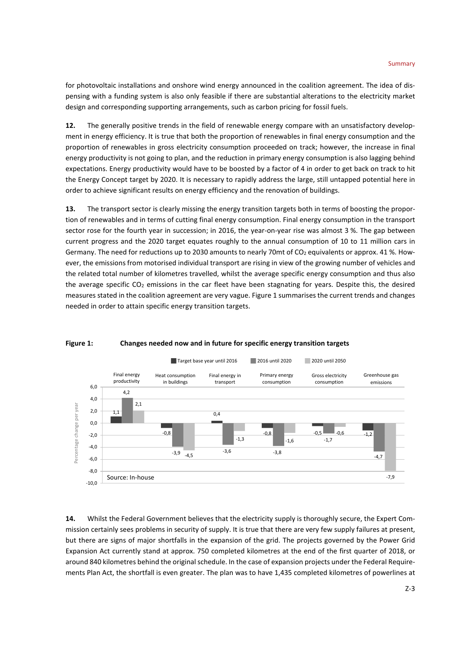for photovoltaic installations and onshore wind energy announced in the coalition agreement. The idea of dispensing with a funding system is also only feasible if there are substantial alterations to the electricity market design and corresponding supporting arrangements, such as carbon pricing for fossil fuels.

**12.** The generally positive trends in the field of renewable energy compare with an unsatisfactory development in energy efficiency. It is true that both the proportion of renewables in final energy consumption and the proportion of renewables in gross electricity consumption proceeded on track; however, the increase in final energy productivity is not going to plan, and the reduction in primary energy consumption is also lagging behind expectations. Energy productivity would have to be boosted by a factor of 4 in order to get back on track to hit the Energy Concept target by 2020. It is necessary to rapidly address the large, still untapped potential here in order to achieve significant results on energy efficiency and the renovation of buildings.

**13.** The transport sector is clearly missing the energy transition targets both in terms of boosting the proportion of renewables and in terms of cutting final energy consumption. Final energy consumption in the transport sector rose for the fourth year in succession; in 2016, the year-on-year rise was almost 3 %. The gap between current progress and the 2020 target equates roughly to the annual consumption of 10 to 11 million cars in Germany. The need for reductions up to 2030 amounts to nearly 70mt of CO<sub>2</sub> equivalents or approx. 41 %. However, the emissions from motorised individual transport are rising in view of the growing number of vehicles and the related total number of kilometres travelled, whilst the average specific energy consumption and thus also the average specific  $CO<sub>2</sub>$  emissions in the car fleet have been stagnating for years. Despite this, the desired measures stated in the coalition agreement are very vague. Figure 1 summarises the current trends and changes needed in order to attain specific energy transition targets.



#### **Figure 1: Changes needed now and in future for specific energy transition targets**

**14.** Whilst the Federal Government believes that the electricity supply is thoroughly secure, the Expert Commission certainly sees problems in security of supply. It is true that there are very few supply failures at present, but there are signs of major shortfalls in the expansion of the grid. The projects governed by the Power Grid Expansion Act currently stand at approx. 750 completed kilometres at the end of the first quarter of 2018, or around 840 kilometres behind the original schedule. In the case of expansion projects under the Federal Requirements Plan Act, the shortfall is even greater. The plan was to have 1,435 completed kilometres of powerlines at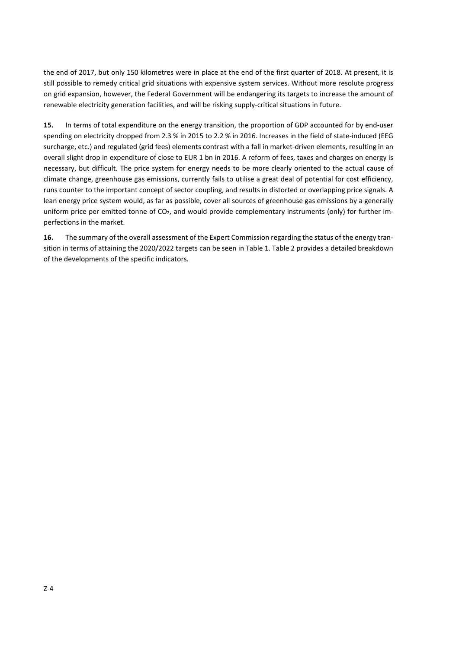the end of 2017, but only 150 kilometres were in place at the end of the first quarter of 2018. At present, it is still possible to remedy critical grid situations with expensive system services. Without more resolute progress on grid expansion, however, the Federal Government will be endangering its targets to increase the amount of renewable electricity generation facilities, and will be risking supply-critical situations in future.

**15.** In terms of total expenditure on the energy transition, the proportion of GDP accounted for by end-user spending on electricity dropped from 2.3 % in 2015 to 2.2 % in 2016. Increases in the field of state-induced (EEG surcharge, etc.) and regulated (grid fees) elements contrast with a fall in market-driven elements, resulting in an overall slight drop in expenditure of close to EUR 1 bn in 2016. A reform of fees, taxes and charges on energy is necessary, but difficult. The price system for energy needs to be more clearly oriented to the actual cause of climate change, greenhouse gas emissions, currently fails to utilise a great deal of potential for cost efficiency, runs counter to the important concept of sector coupling, and results in distorted or overlapping price signals. A lean energy price system would, as far as possible, cover all sources of greenhouse gas emissions by a generally uniform price per emitted tonne of  $CO<sub>2</sub>$ , and would provide complementary instruments (only) for further imperfections in the market.

**16.** The summary of the overall assessment of the Expert Commission regarding the status of the energy transition in terms of attaining the 2020/2022 targets can be seen in Table 1. Table 2 provides a detailed breakdown of the developments of the specific indicators.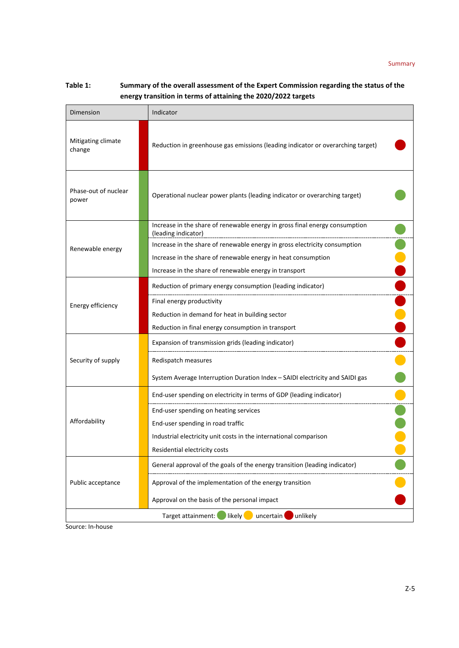| Table 1: | Summary of the overall assessment of the Expert Commission regarding the status of the |
|----------|----------------------------------------------------------------------------------------|
|          | energy transition in terms of attaining the 2020/2022 targets                          |

| Dimension                     | Indicator                                                                                          |
|-------------------------------|----------------------------------------------------------------------------------------------------|
| Mitigating climate<br>change  | Reduction in greenhouse gas emissions (leading indicator or overarching target)                    |
| Phase-out of nuclear<br>power | Operational nuclear power plants (leading indicator or overarching target)                         |
|                               | Increase in the share of renewable energy in gross final energy consumption<br>(leading indicator) |
| Renewable energy              | Increase in the share of renewable energy in gross electricity consumption                         |
|                               | Increase in the share of renewable energy in heat consumption                                      |
|                               | Increase in the share of renewable energy in transport                                             |
|                               | Reduction of primary energy consumption (leading indicator)                                        |
| Energy efficiency             | Final energy productivity                                                                          |
|                               | Reduction in demand for heat in building sector                                                    |
|                               | Reduction in final energy consumption in transport                                                 |
|                               | Expansion of transmission grids (leading indicator)                                                |
| Security of supply            | Redispatch measures                                                                                |
|                               | System Average Interruption Duration Index - SAIDI electricity and SAIDI gas                       |
|                               | End-user spending on electricity in terms of GDP (leading indicator)                               |
|                               | End-user spending on heating services                                                              |
| Affordability                 | End-user spending in road traffic                                                                  |
|                               | Industrial electricity unit costs in the international comparison                                  |
|                               | Residential electricity costs                                                                      |
|                               | General approval of the goals of the energy transition (leading indicator)                         |
| Public acceptance             | Approval of the implementation of the energy transition                                            |
|                               | Approval on the basis of the personal impact                                                       |
|                               | unlikely<br>Target attainment:<br>likely (<br>uncertain                                            |

Source: In-house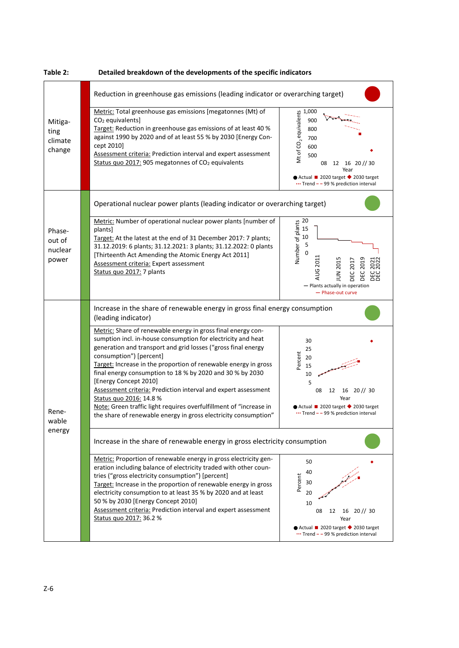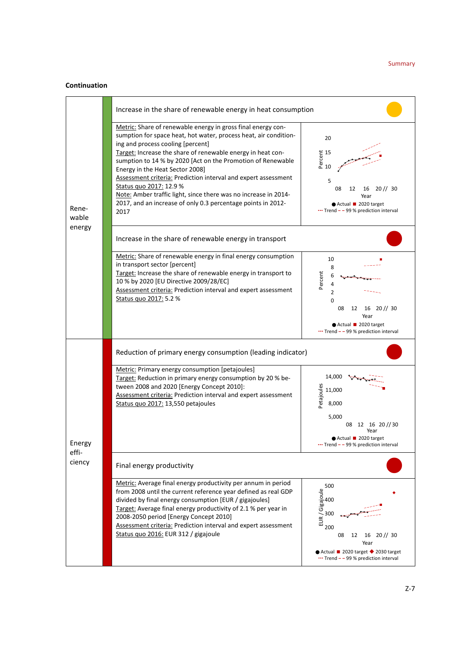#### **Summary**

#### **Continuation**

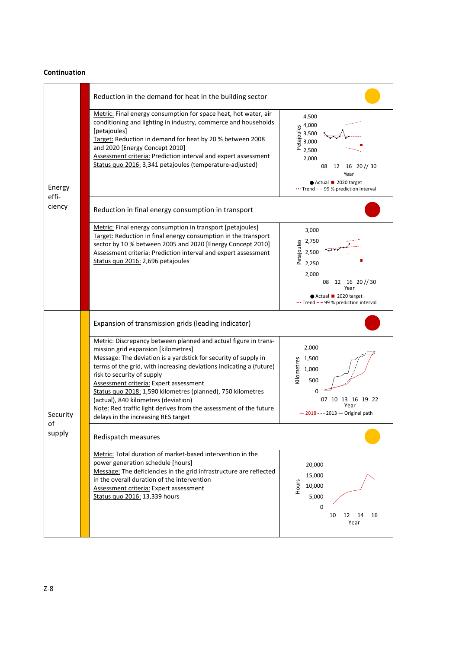#### **Continuation**

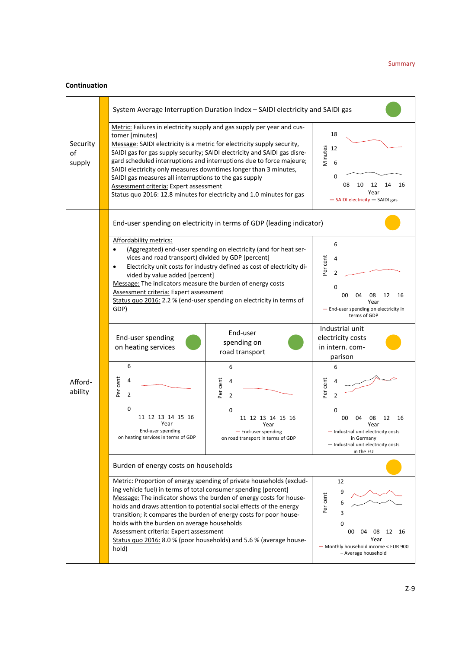#### Summary

#### **Continuation**

|                          |  | System Average Interruption Duration Index - SAIDI electricity and SAIDI gas                                                                                                                                                                                                                                                                                                                                                                                                                                                                                                |                                                                                                                                      |                                                                                                                                                  |  |  |
|--------------------------|--|-----------------------------------------------------------------------------------------------------------------------------------------------------------------------------------------------------------------------------------------------------------------------------------------------------------------------------------------------------------------------------------------------------------------------------------------------------------------------------------------------------------------------------------------------------------------------------|--------------------------------------------------------------------------------------------------------------------------------------|--------------------------------------------------------------------------------------------------------------------------------------------------|--|--|
| Security<br>оf<br>supply |  | Metric: Failures in electricity supply and gas supply per year and cus-<br>tomer [minutes]<br>Message: SAIDI electricity is a metric for electricity supply security,<br>SAIDI gas for gas supply security; SAIDI electricity and SAIDI gas disre-<br>gard scheduled interruptions and interruptions due to force majeure;<br>SAIDI electricity only measures downtimes longer than 3 minutes,<br>SAIDI gas measures all interruptions to the gas supply<br>Assessment criteria: Expert assessment<br>Status quo 2016: 12.8 minutes for electricity and 1.0 minutes for gas | 18<br>Minutes<br>12<br>6<br>0<br>08<br>10<br>14<br>16<br>12<br>Year<br>- SAIDI electricity - SAIDI gas                               |                                                                                                                                                  |  |  |
|                          |  | End-user spending on electricity in terms of GDP (leading indicator)                                                                                                                                                                                                                                                                                                                                                                                                                                                                                                        |                                                                                                                                      |                                                                                                                                                  |  |  |
| Afford-<br>ability       |  | Affordability metrics:<br>(Aggregated) end-user spending on electricity (and for heat ser-<br>vices and road transport) divided by GDP [percent]<br>Electricity unit costs for industry defined as cost of electricity di-<br>٠<br>vided by value added [percent]<br>Message: The indicators measure the burden of energy costs<br>Assessment criteria: Expert assessment<br>Status quo 2016: 2.2 % (end-user spending on electricity in terms of<br>GDP)                                                                                                                   | 6<br>Per cent<br>4<br>2<br>0<br>12<br>16<br>00<br>04<br>08<br>Year<br>- End-user spending on electricity in<br>terms of GDP          |                                                                                                                                                  |  |  |
|                          |  | End-user spending<br>on heating services                                                                                                                                                                                                                                                                                                                                                                                                                                                                                                                                    | End-user<br>spending on<br>road transport                                                                                            | Industrial unit<br>electricity costs<br>in intern. com-<br>parison                                                                               |  |  |
|                          |  | 6<br>Per cent<br>4<br>$\overline{2}$                                                                                                                                                                                                                                                                                                                                                                                                                                                                                                                                        | 6<br>Per cent<br>$\overline{4}$<br>$\overline{2}$                                                                                    | 6<br>Per cent<br>4<br>$\overline{2}$                                                                                                             |  |  |
|                          |  | 0<br>11 12 13 14 15 16<br>Year<br>- End-user spending<br>on heating services in terms of GDP                                                                                                                                                                                                                                                                                                                                                                                                                                                                                | 0<br>11 12 13 14 15 16<br>Year<br>- End-user spending<br>on road transport in terms of GDP                                           | 0<br>00<br>04<br>12<br>16<br>08<br>Year<br>- Industrial unit electricity costs<br>in Germany<br>- Industrial unit electricity costs<br>in the EU |  |  |
|                          |  | Burden of energy costs on households                                                                                                                                                                                                                                                                                                                                                                                                                                                                                                                                        |                                                                                                                                      |                                                                                                                                                  |  |  |
|                          |  | Metric: Proportion of energy spending of private households (exclud-<br>ing vehicle fuel) in terms of total consumer spending [percent]<br>Message: The indicator shows the burden of energy costs for house-<br>holds and draws attention to potential social effects of the energy<br>transition; it compares the burden of energy costs for poor house-<br>holds with the burden on average households<br>Assessment criteria: Expert assessment<br>Status quo 2016: 8.0 % (poor households) and 5.6 % (average house-<br>hold)                                          | 12<br>9<br>Per cent<br>6<br>3<br>0<br>00<br>04<br>12 16<br>08<br>Year<br>- Monthly household income < EUR 900<br>- Average household |                                                                                                                                                  |  |  |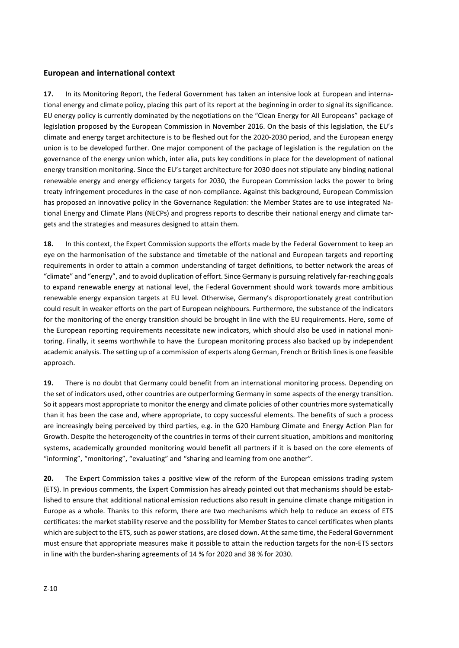#### **European and international context**

**17.** In its Monitoring Report, the Federal Government has taken an intensive look at European and international energy and climate policy, placing this part of its report at the beginning in order to signal its significance. EU energy policy is currently dominated by the negotiations on the "Clean Energy for All Europeans" package of legislation proposed by the European Commission in November 2016. On the basis of this legislation, the EU's climate and energy target architecture is to be fleshed out for the 2020-2030 period, and the European energy union is to be developed further. One major component of the package of legislation is the regulation on the governance of the energy union which, inter alia, puts key conditions in place for the development of national energy transition monitoring. Since the EU's target architecture for 2030 does not stipulate any binding national renewable energy and energy efficiency targets for 2030, the European Commission lacks the power to bring treaty infringement procedures in the case of non-compliance. Against this background, European Commission has proposed an innovative policy in the Governance Regulation: the Member States are to use integrated National Energy and Climate Plans (NECPs) and progress reports to describe their national energy and climate targets and the strategies and measures designed to attain them.

**18.** In this context, the Expert Commission supports the efforts made by the Federal Government to keep an eye on the harmonisation of the substance and timetable of the national and European targets and reporting requirements in order to attain a common understanding of target definitions, to better network the areas of "climate" and "energy", and to avoid duplication of effort. Since Germany is pursuing relatively far-reaching goals to expand renewable energy at national level, the Federal Government should work towards more ambitious renewable energy expansion targets at EU level. Otherwise, Germany's disproportionately great contribution could result in weaker efforts on the part of European neighbours. Furthermore, the substance of the indicators for the monitoring of the energy transition should be brought in line with the EU requirements. Here, some of the European reporting requirements necessitate new indicators, which should also be used in national monitoring. Finally, it seems worthwhile to have the European monitoring process also backed up by independent academic analysis. The setting up of a commission of experts along German, French or British lines is one feasible approach.

**19.** There is no doubt that Germany could benefit from an international monitoring process. Depending on the set of indicators used, other countries are outperforming Germany in some aspects of the energy transition. So it appears most appropriate to monitor the energy and climate policies of other countries more systematically than it has been the case and, where appropriate, to copy successful elements. The benefits of such a process are increasingly being perceived by third parties, e.g. in the G20 Hamburg Climate and Energy Action Plan for Growth. Despite the heterogeneity of the countries in terms of their current situation, ambitions and monitoring systems, academically grounded monitoring would benefit all partners if it is based on the core elements of "informing", "monitoring", "evaluating" and "sharing and learning from one another".

**20.** The Expert Commission takes a positive view of the reform of the European emissions trading system (ETS). In previous comments, the Expert Commission has already pointed out that mechanisms should be established to ensure that additional national emission reductions also result in genuine climate change mitigation in Europe as a whole. Thanks to this reform, there are two mechanisms which help to reduce an excess of ETS certificates: the market stability reserve and the possibility for Member States to cancel certificates when plants which are subject to the ETS, such as power stations, are closed down. At the same time, the Federal Government must ensure that appropriate measures make it possible to attain the reduction targets for the non-ETS sectors in line with the burden-sharing agreements of 14 % for 2020 and 38 % for 2030.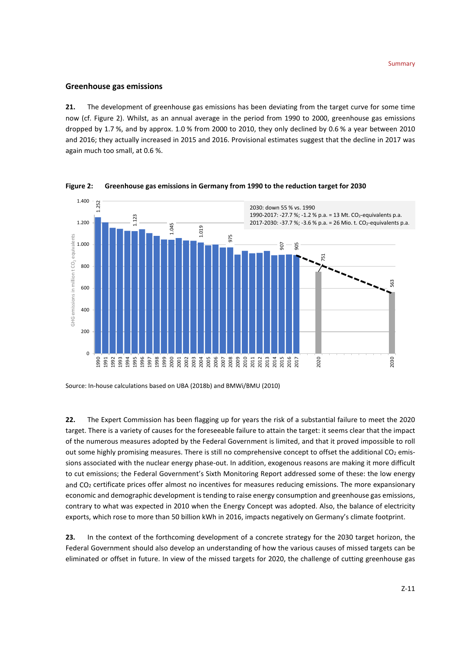#### **Greenhouse gas emissions**

**21.** The development of greenhouse gas emissions has been deviating from the target curve for some time now (cf. Figure 2). Whilst, as an annual average in the period from 1990 to 2000, greenhouse gas emissions dropped by 1.7 %, and by approx. 1.0 % from 2000 to 2010, they only declined by 0.6 % a year between 2010 and 2016; they actually increased in 2015 and 2016. Provisional estimates suggest that the decline in 2017 was again much too small, at 0.6 %.



**Figure 2: Greenhouse gas emissions in Germany from 1990 to the reduction target for 2030**

Source: In-house calculations based on UBA (2018b) and BMWi/BMU (2010)

**22.** The Expert Commission has been flagging up for years the risk of a substantial failure to meet the 2020 target. There is a variety of causes for the foreseeable failure to attain the target: it seems clear that the impact of the numerous measures adopted by the Federal Government is limited, and that it proved impossible to roll out some highly promising measures. There is still no comprehensive concept to offset the additional CO<sub>2</sub> emissions associated with the nuclear energy phase-out. In addition, exogenous reasons are making it more difficult to cut emissions; the Federal Government's Sixth Monitoring Report addressed some of these: the low energy and CO2 certificate prices offer almost no incentives for measures reducing emissions. The more expansionary economic and demographic development is tending to raise energy consumption and greenhouse gas emissions, contrary to what was expected in 2010 when the Energy Concept was adopted. Also, the balance of electricity exports, which rose to more than 50 billion kWh in 2016, impacts negatively on Germany's climate footprint.

**23.** In the context of the forthcoming development of a concrete strategy for the 2030 target horizon, the Federal Government should also develop an understanding of how the various causes of missed targets can be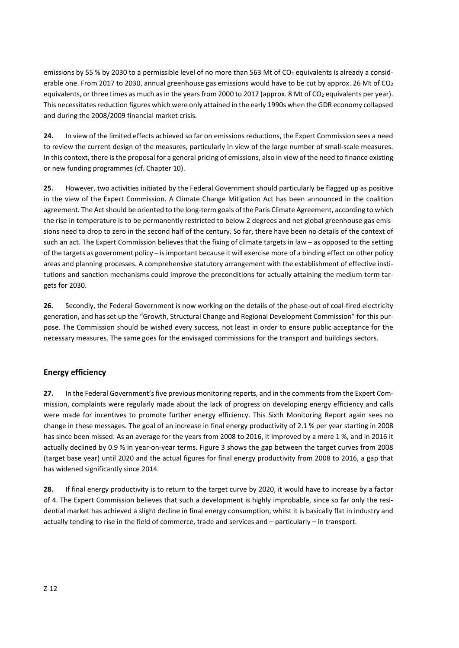emissions by 55 % by 2030 to a permissible level of no more than 563 Mt of CO<sub>2</sub> equivalents is already a considerable one. From 2017 to 2030, annual greenhouse gas emissions would have to be cut by approx. 26 Mt of  $CO<sub>2</sub>$ equivalents, or three times as much as in the years from 2000 to 2017 (approx. 8 Mt of CO<sub>2</sub> equivalents per year). This necessitates reduction figures which were only attained in the early 1990s when the GDR economy collapsed and during the 2008/2009 financial market crisis.

**24.** In view of the limited effects achieved so far on emissions reductions, the Expert Commission sees a need to review the current design of the measures, particularly in view of the large number of small-scale measures. In this context, there is the proposal for a general pricing of emissions, also in view of the need to finance existing or new funding programmes (cf. Chapter 10).

**25.** However, two activities initiated by the Federal Government should particularly be flagged up as positive in the view of the Expert Commission. A Climate Change Mitigation Act has been announced in the coalition agreement. The Act should be oriented to the long-term goals of the Paris Climate Agreement, according to which the rise in temperature is to be permanently restricted to below 2 degrees and net global greenhouse gas emissions need to drop to zero in the second half of the century. So far, there have been no details of the context of such an act. The Expert Commission believes that the fixing of climate targets in law – as opposed to the setting of the targets as government policy – is important because it will exercise more of a binding effect on other policy areas and planning processes. A comprehensive statutory arrangement with the establishment of effective institutions and sanction mechanisms could improve the preconditions for actually attaining the medium-term targets for 2030.

**26.** Secondly, the Federal Government is now working on the details of the phase-out of coal-fired electricity generation, and has set up the "Growth, Structural Change and Regional Development Commission" for this purpose. The Commission should be wished every success, not least in order to ensure public acceptance for the necessary measures. The same goes for the envisaged commissions for the transport and buildings sectors.

#### **Energy efficiency**

**27.** In the Federal Government's five previous monitoring reports, and in the comments from the Expert Commission, complaints were regularly made about the lack of progress on developing energy efficiency and calls were made for incentives to promote further energy efficiency. This Sixth Monitoring Report again sees no change in these messages. The goal of an increase in final energy productivity of 2.1 % per year starting in 2008 has since been missed. As an average for the years from 2008 to 2016, it improved by a mere 1 %, and in 2016 it actually declined by 0.9 % in year-on-year terms. Figure 3 shows the gap between the target curves from 2008 (target base year) until 2020 and the actual figures for final energy productivity from 2008 to 2016, a gap that has widened significantly since 2014.

**28.** If final energy productivity is to return to the target curve by 2020, it would have to increase by a factor of 4. The Expert Commission believes that such a development is highly improbable, since so far only the residential market has achieved a slight decline in final energy consumption, whilst it is basically flat in industry and actually tending to rise in the field of commerce, trade and services and – particularly – in transport.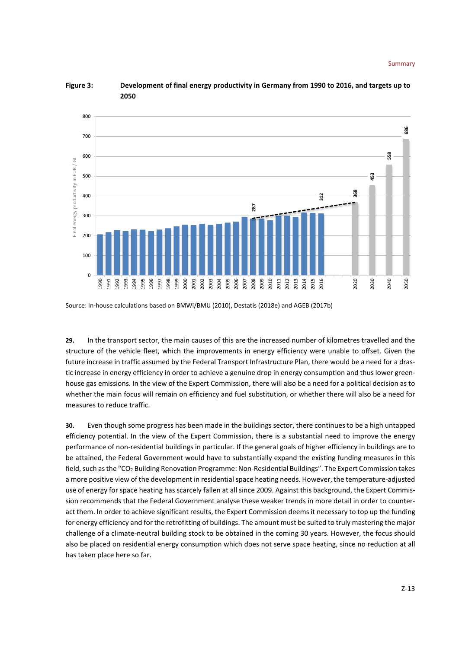

#### **Figure 3: Development of final energy productivity in Germany from 1990 to 2016, and targets up to 2050**

**29.** In the transport sector, the main causes of this are the increased number of kilometres travelled and the structure of the vehicle fleet, which the improvements in energy efficiency were unable to offset. Given the future increase in traffic assumed by the Federal Transport Infrastructure Plan, there would be a need for a drastic increase in energy efficiency in order to achieve a genuine drop in energy consumption and thus lower greenhouse gas emissions. In the view of the Expert Commission, there will also be a need for a political decision as to whether the main focus will remain on efficiency and fuel substitution, or whether there will also be a need for measures to reduce traffic.

**30.** Even though some progress has been made in the buildings sector, there continues to be a high untapped efficiency potential. In the view of the Expert Commission, there is a substantial need to improve the energy performance of non-residential buildings in particular. If the general goals of higher efficiency in buildings are to be attained, the Federal Government would have to substantially expand the existing funding measures in this field, such as the "CO2 Building Renovation Programme: Non-Residential Buildings". The Expert Commission takes a more positive view of the development in residential space heating needs. However, the temperature-adjusted use of energy for space heating has scarcely fallen at all since 2009. Against this background, the Expert Commission recommends that the Federal Government analyse these weaker trends in more detail in order to counteract them. In order to achieve significant results, the Expert Commission deems it necessary to top up the funding for energy efficiency and for the retrofitting of buildings. The amount must be suited to truly mastering the major challenge of a climate-neutral building stock to be obtained in the coming 30 years. However, the focus should also be placed on residential energy consumption which does not serve space heating, since no reduction at all has taken place here so far.

Source: In-house calculations based on BMWi/BMU (2010), Destatis (2018e) and AGEB (2017b)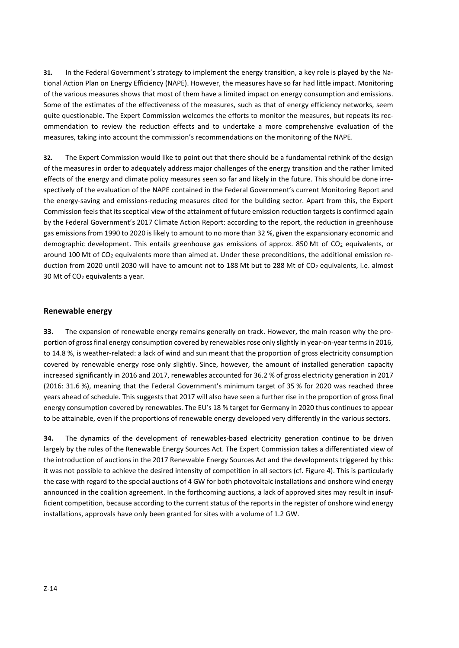**31.** In the Federal Government's strategy to implement the energy transition, a key role is played by the National Action Plan on Energy Efficiency (NAPE). However, the measures have so far had little impact. Monitoring of the various measures shows that most of them have a limited impact on energy consumption and emissions. Some of the estimates of the effectiveness of the measures, such as that of energy efficiency networks, seem quite questionable. The Expert Commission welcomes the efforts to monitor the measures, but repeats its recommendation to review the reduction effects and to undertake a more comprehensive evaluation of the measures, taking into account the commission's recommendations on the monitoring of the NAPE.

**32.** The Expert Commission would like to point out that there should be a fundamental rethink of the design of the measures in order to adequately address major challenges of the energy transition and the rather limited effects of the energy and climate policy measures seen so far and likely in the future. This should be done irrespectively of the evaluation of the NAPE contained in the Federal Government's current Monitoring Report and the energy-saving and emissions-reducing measures cited for the building sector. Apart from this, the Expert Commission feels that its sceptical view of the attainment of future emission reduction targets is confirmed again by the Federal Government's 2017 Climate Action Report: according to the report, the reduction in greenhouse gas emissions from 1990 to 2020 is likely to amount to no more than 32 %, given the expansionary economic and demographic development. This entails greenhouse gas emissions of approx. 850 Mt of  $CO<sub>2</sub>$  equivalents, or around 100 Mt of  $CO<sub>2</sub>$  equivalents more than aimed at. Under these preconditions, the additional emission reduction from 2020 until 2030 will have to amount not to 188 Mt but to 288 Mt of CO<sub>2</sub> equivalents, i.e. almost 30 Mt of CO2 equivalents a year.

#### **Renewable energy**

**33.** The expansion of renewable energy remains generally on track. However, the main reason why the proportion of gross final energy consumption covered by renewables rose only slightly in year-on-year terms in 2016, to 14.8 %, is weather-related: a lack of wind and sun meant that the proportion of gross electricity consumption covered by renewable energy rose only slightly. Since, however, the amount of installed generation capacity increased significantly in 2016 and 2017, renewables accounted for 36.2 % of gross electricity generation in 2017 (2016: 31.6 %), meaning that the Federal Government's minimum target of 35 % for 2020 was reached three years ahead of schedule. This suggests that 2017 will also have seen a further rise in the proportion of gross final energy consumption covered by renewables. The EU's 18 % target for Germany in 2020 thus continues to appear to be attainable, even if the proportions of renewable energy developed very differently in the various sectors.

**34.** The dynamics of the development of renewables-based electricity generation continue to be driven largely by the rules of the Renewable Energy Sources Act. The Expert Commission takes a differentiated view of the introduction of auctions in the 2017 Renewable Energy Sources Act and the developments triggered by this: it was not possible to achieve the desired intensity of competition in all sectors (cf. Figure 4). This is particularly the case with regard to the special auctions of 4 GW for both photovoltaic installations and onshore wind energy announced in the coalition agreement. In the forthcoming auctions, a lack of approved sites may result in insufficient competition, because according to the current status of the reports in the register of onshore wind energy installations, approvals have only been granted for sites with a volume of 1.2 GW.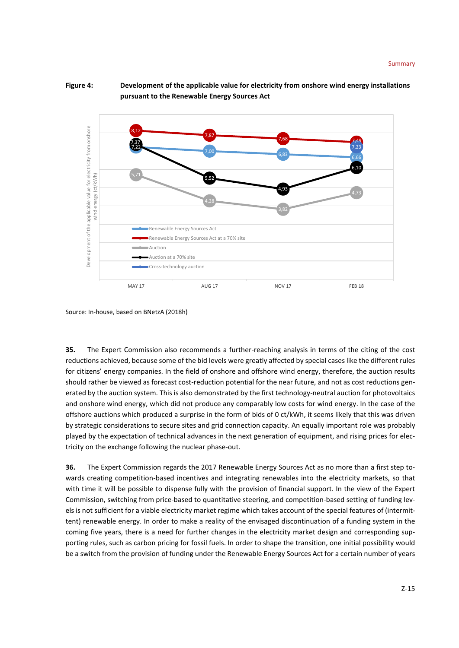#### **Figure 4: Development of the applicable value for electricity from onshore wind energy installations pursuant to the Renewable Energy Sources Act**



Source: In-house, based on BNetzA (2018h)

**35.** The Expert Commission also recommends a further-reaching analysis in terms of the citing of the cost reductions achieved, because some of the bid levels were greatly affected by special cases like the different rules for citizens' energy companies. In the field of onshore and offshore wind energy, therefore, the auction results should rather be viewed as forecast cost-reduction potential for the near future, and not as cost reductions generated by the auction system. This is also demonstrated by the first technology-neutral auction for photovoltaics and onshore wind energy, which did not produce any comparably low costs for wind energy. In the case of the offshore auctions which produced a surprise in the form of bids of 0 ct/kWh, it seems likely that this was driven by strategic considerations to secure sites and grid connection capacity. An equally important role was probably played by the expectation of technical advances in the next generation of equipment, and rising prices for electricity on the exchange following the nuclear phase-out.

**36.** The Expert Commission regards the 2017 Renewable Energy Sources Act as no more than a first step towards creating competition-based incentives and integrating renewables into the electricity markets, so that with time it will be possible to dispense fully with the provision of financial support. In the view of the Expert Commission, switching from price-based to quantitative steering, and competition-based setting of funding levels is not sufficient for a viable electricity market regime which takes account of the special features of (intermittent) renewable energy. In order to make a reality of the envisaged discontinuation of a funding system in the coming five years, there is a need for further changes in the electricity market design and corresponding supporting rules, such as carbon pricing for fossil fuels. In order to shape the transition, one initial possibility would be a switch from the provision of funding under the Renewable Energy Sources Act for a certain number of years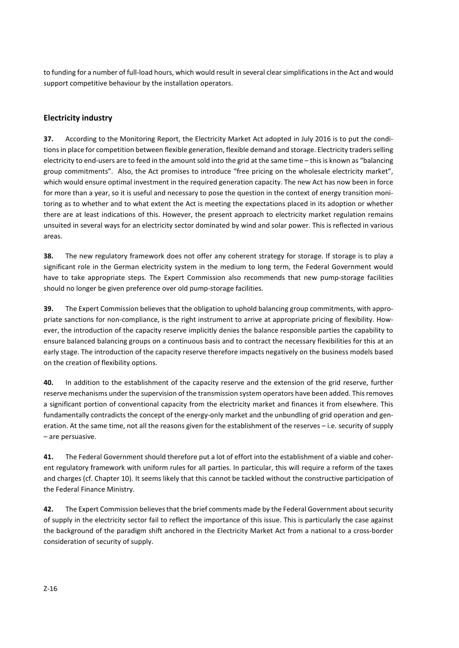to funding for a number of full-load hours, which would result in several clear simplifications in the Act and would support competitive behaviour by the installation operators.

#### **Electricity industry**

**37.** According to the Monitoring Report, the Electricity Market Act adopted in July 2016 is to put the conditions in place for competition between flexible generation, flexible demand and storage. Electricity traders selling electricity to end-users are to feed in the amount sold into the grid at the same time – this is known as "balancing group commitments". Also, the Act promises to introduce "free pricing on the wholesale electricity market", which would ensure optimal investment in the required generation capacity. The new Act has now been in force for more than a year, so it is useful and necessary to pose the question in the context of energy transition monitoring as to whether and to what extent the Act is meeting the expectations placed in its adoption or whether there are at least indications of this. However, the present approach to electricity market regulation remains unsuited in several ways for an electricity sector dominated by wind and solar power. This is reflected in various areas.

**38.** The new regulatory framework does not offer any coherent strategy for storage. If storage is to play a significant role in the German electricity system in the medium to long term, the Federal Government would have to take appropriate steps. The Expert Commission also recommends that new pump-storage facilities should no longer be given preference over old pump-storage facilities.

**39.** The Expert Commission believes that the obligation to uphold balancing group commitments, with appropriate sanctions for non-compliance, is the right instrument to arrive at appropriate pricing of flexibility. However, the introduction of the capacity reserve implicitly denies the balance responsible parties the capability to ensure balanced balancing groups on a continuous basis and to contract the necessary flexibilities for this at an early stage. The introduction of the capacity reserve therefore impacts negatively on the business models based on the creation of flexibility options.

**40.** In addition to the establishment of the capacity reserve and the extension of the grid reserve, further reserve mechanisms under the supervision of the transmission system operators have been added. This removes a significant portion of conventional capacity from the electricity market and finances it from elsewhere. This fundamentally contradicts the concept of the energy-only market and the unbundling of grid operation and generation. At the same time, not all the reasons given for the establishment of the reserves – i.e. security of supply – are persuasive.

**41.** The Federal Government should therefore put a lot of effort into the establishment of a viable and coherent regulatory framework with uniform rules for all parties. In particular, this will require a reform of the taxes and charges (cf. Chapter 10). It seems likely that this cannot be tackled without the constructive participation of the Federal Finance Ministry.

**42.** The Expert Commission believes that the brief comments made by the Federal Government about security of supply in the electricity sector fail to reflect the importance of this issue. This is particularly the case against the background of the paradigm shift anchored in the Electricity Market Act from a national to a cross-border consideration of security of supply.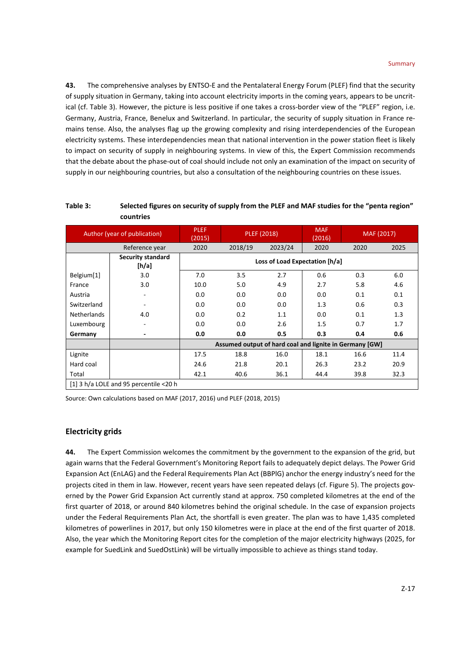**43.** The comprehensive analyses by ENTSO-E and the Pentalateral Energy Forum (PLEF) find that the security of supply situation in Germany, taking into account electricity imports in the coming years, appears to be uncritical (cf. Table 3). However, the picture is less positive if one takes a cross-border view of the "PLEF" region, i.e. Germany, Austria, France, Benelux and Switzerland. In particular, the security of supply situation in France remains tense. Also, the analyses flag up the growing complexity and rising interdependencies of the European electricity systems. These interdependencies mean that national intervention in the power station fleet is likely to impact on security of supply in neighbouring systems. In view of this, the Expert Commission recommends that the debate about the phase-out of coal should include not only an examination of the impact on security of supply in our neighbouring countries, but also a consultation of the neighbouring countries on these issues.

|                                        | ,,,,,,,,,,,                       |                                                         |             |         |                      |            |      |
|----------------------------------------|-----------------------------------|---------------------------------------------------------|-------------|---------|----------------------|------------|------|
| Author (year of publication)           |                                   | <b>PLEF</b><br>(2015)                                   | PLEF (2018) |         | <b>MAF</b><br>(2016) | MAF (2017) |      |
|                                        | Reference year                    | 2020                                                    | 2018/19     | 2023/24 | 2020                 | 2020       | 2025 |
|                                        | <b>Security standard</b><br>[h/a] | Loss of Load Expectation [h/a]                          |             |         |                      |            |      |
| Belgium[1]                             | 3.0                               | 7.0                                                     | 3.5         | 2.7     | 0.6                  | 0.3        | 6.0  |
| France                                 | 3.0                               | 10.0                                                    | 5.0         | 4.9     | 2.7                  | 5.8        | 4.6  |
| Austria                                |                                   | 0.0                                                     | 0.0         | 0.0     | 0.0                  | 0.1        | 0.1  |
| Switzerland                            | ۰                                 | 0.0                                                     | 0.0         | 0.0     | 1.3                  | 0.6        | 0.3  |
| <b>Netherlands</b>                     | 4.0                               | 0.0                                                     | 0.2         | 1.1     | 0.0                  | 0.1        | 1.3  |
| Luxembourg                             |                                   | 0.0                                                     | 0.0         | 2.6     | 1.5                  | 0.7        | 1.7  |
| Germany                                |                                   | 0.0                                                     | 0.0         | 0.5     | 0.3                  | 0.4        | 0.6  |
|                                        |                                   | Assumed output of hard coal and lignite in Germany [GW] |             |         |                      |            |      |
| Lignite                                |                                   | 17.5                                                    | 18.8        | 16.0    | 18.1                 | 16.6       | 11.4 |
| Hard coal                              |                                   | 24.6                                                    | 21.8        | 20.1    | 26.3                 | 23.2       | 20.9 |
| Total                                  |                                   | 42.1                                                    | 40.6        | 36.1    | 44.4                 | 39.8       | 32.3 |
| [1] 3 h/a LOLE and 95 percentile <20 h |                                   |                                                         |             |         |                      |            |      |

#### **Table 3: Selected figures on security of supply from the PLEF and MAF studies for the "penta region" countries**

Source: Own calculations based on MAF (2017, 2016) und PLEF (2018, 2015)

#### **Electricity grids**

**44.** The Expert Commission welcomes the commitment by the government to the expansion of the grid, but again warns that the Federal Government's Monitoring Report fails to adequately depict delays. The Power Grid Expansion Act (EnLAG) and the Federal Requirements Plan Act (BBPlG) anchor the energy industry's need for the projects cited in them in law. However, recent years have seen repeated delays (cf. Figure 5). The projects governed by the Power Grid Expansion Act currently stand at approx. 750 completed kilometres at the end of the first quarter of 2018, or around 840 kilometres behind the original schedule. In the case of expansion projects under the Federal Requirements Plan Act, the shortfall is even greater. The plan was to have 1,435 completed kilometres of powerlines in 2017, but only 150 kilometres were in place at the end of the first quarter of 2018. Also, the year which the Monitoring Report cites for the completion of the major electricity highways (2025, for example for SuedLink and SuedOstLink) will be virtually impossible to achieve as things stand today.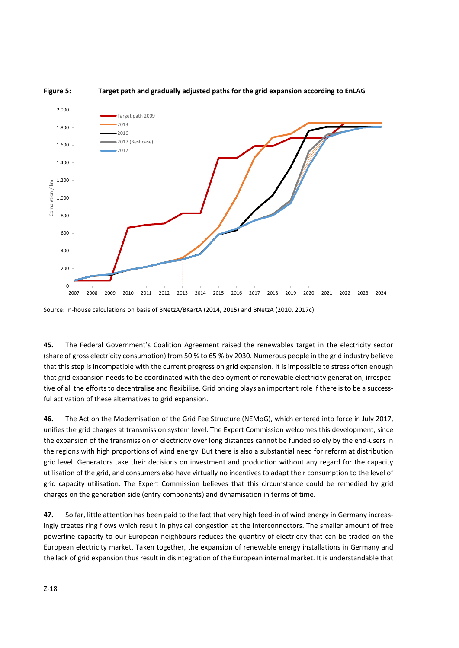

#### **Figure 5: Target path and gradually adjusted paths for the grid expansion according to EnLAG**

**45.** The Federal Government's Coalition Agreement raised the renewables target in the electricity sector (share of gross electricity consumption) from 50 % to 65 % by 2030. Numerous people in the grid industry believe that this step is incompatible with the current progress on grid expansion. It is impossible to stress often enough that grid expansion needs to be coordinated with the deployment of renewable electricity generation, irrespective of all the efforts to decentralise and flexibilise. Grid pricing plays an important role if there is to be a successful activation of these alternatives to grid expansion.

**46.** The Act on the Modernisation of the Grid Fee Structure (NEMoG), which entered into force in July 2017, unifies the grid charges at transmission system level. The Expert Commission welcomes this development, since the expansion of the transmission of electricity over long distances cannot be funded solely by the end-users in the regions with high proportions of wind energy. But there is also a substantial need for reform at distribution grid level. Generators take their decisions on investment and production without any regard for the capacity utilisation of the grid, and consumers also have virtually no incentives to adapt their consumption to the level of grid capacity utilisation. The Expert Commission believes that this circumstance could be remedied by grid charges on the generation side (entry components) and dynamisation in terms of time.

**47.** So far, little attention has been paid to the fact that very high feed-in of wind energy in Germany increasingly creates ring flows which result in physical congestion at the interconnectors. The smaller amount of free powerline capacity to our European neighbours reduces the quantity of electricity that can be traded on the European electricity market. Taken together, the expansion of renewable energy installations in Germany and the lack of grid expansion thus result in disintegration of the European internal market. It is understandable that

Source: In-house calculations on basis of BNetzA/BKartA (2014, 2015) and BNetzA (2010, 2017c)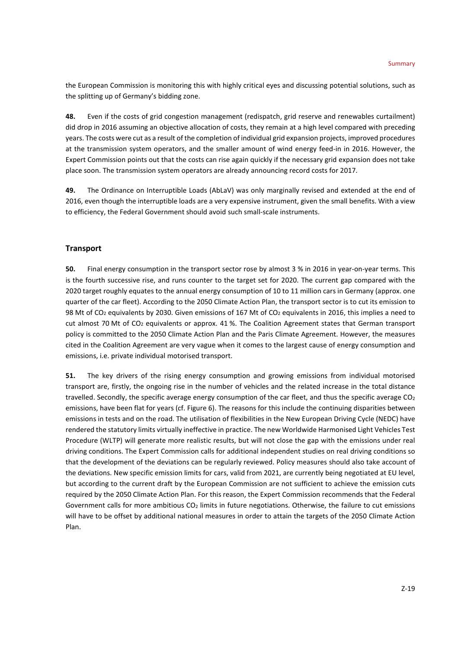the European Commission is monitoring this with highly critical eyes and discussing potential solutions, such as the splitting up of Germany's bidding zone.

**48.** Even if the costs of grid congestion management (redispatch, grid reserve and renewables curtailment) did drop in 2016 assuming an objective allocation of costs, they remain at a high level compared with preceding years. The costs were cut as a result of the completion of individual grid expansion projects, improved procedures at the transmission system operators, and the smaller amount of wind energy feed-in in 2016. However, the Expert Commission points out that the costs can rise again quickly if the necessary grid expansion does not take place soon. The transmission system operators are already announcing record costs for 2017.

**49.** The Ordinance on Interruptible Loads (AbLaV) was only marginally revised and extended at the end of 2016, even though the interruptible loads are a very expensive instrument, given the small benefits. With a view to efficiency, the Federal Government should avoid such small-scale instruments.

#### **Transport**

**50.** Final energy consumption in the transport sector rose by almost 3 % in 2016 in year-on-year terms. This is the fourth successive rise, and runs counter to the target set for 2020. The current gap compared with the 2020 target roughly equates to the annual energy consumption of 10 to 11 million cars in Germany (approx. one quarter of the car fleet). According to the 2050 Climate Action Plan, the transport sector is to cut its emission to 98 Mt of CO2 equivalents by 2030. Given emissions of 167 Mt of CO2 equivalents in 2016, this implies a need to cut almost 70 Mt of CO<sub>2</sub> equivalents or approx. 41 %. The Coalition Agreement states that German transport policy is committed to the 2050 Climate Action Plan and the Paris Climate Agreement. However, the measures cited in the Coalition Agreement are very vague when it comes to the largest cause of energy consumption and emissions, i.e. private individual motorised transport.

**51.** The key drivers of the rising energy consumption and growing emissions from individual motorised transport are, firstly, the ongoing rise in the number of vehicles and the related increase in the total distance travelled. Secondly, the specific average energy consumption of the car fleet, and thus the specific average  $CO<sub>2</sub>$ emissions, have been flat for years (cf. Figure 6). The reasons for this include the continuing disparities between emissions in tests and on the road. The utilisation of flexibilities in the New European Driving Cycle (NEDC) have rendered the statutory limits virtually ineffective in practice. The new Worldwide Harmonised Light Vehicles Test Procedure (WLTP) will generate more realistic results, but will not close the gap with the emissions under real driving conditions. The Expert Commission calls for additional independent studies on real driving conditions so that the development of the deviations can be regularly reviewed. Policy measures should also take account of the deviations. New specific emission limits for cars, valid from 2021, are currently being negotiated at EU level, but according to the current draft by the European Commission are not sufficient to achieve the emission cuts required by the 2050 Climate Action Plan. For this reason, the Expert Commission recommends that the Federal Government calls for more ambitious  $CO<sub>2</sub>$  limits in future negotiations. Otherwise, the failure to cut emissions will have to be offset by additional national measures in order to attain the targets of the 2050 Climate Action Plan.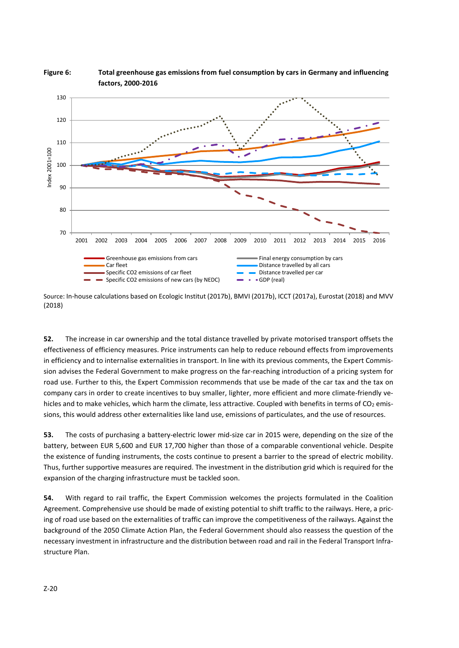

**Figure 6: Total greenhouse gas emissions from fuel consumption by cars in Germany and influencing factors, 2000-2016**

**52.** The increase in car ownership and the total distance travelled by private motorised transport offsets the effectiveness of efficiency measures. Price instruments can help to reduce rebound effects from improvements in efficiency and to internalise externalities in transport. In line with its previous comments, the Expert Commission advises the Federal Government to make progress on the far-reaching introduction of a pricing system for road use. Further to this, the Expert Commission recommends that use be made of the car tax and the tax on company cars in order to create incentives to buy smaller, lighter, more efficient and more climate-friendly vehicles and to make vehicles, which harm the climate, less attractive. Coupled with benefits in terms of  $CO<sub>2</sub>$  emissions, this would address other externalities like land use, emissions of particulates, and the use of resources.

**53.** The costs of purchasing a battery-electric lower mid-size car in 2015 were, depending on the size of the battery, between EUR 5,600 and EUR 17,700 higher than those of a comparable conventional vehicle. Despite the existence of funding instruments, the costs continue to present a barrier to the spread of electric mobility. Thus, further supportive measures are required. The investment in the distribution grid which is required for the expansion of the charging infrastructure must be tackled soon.

**54.** With regard to rail traffic, the Expert Commission welcomes the projects formulated in the Coalition Agreement. Comprehensive use should be made of existing potential to shift traffic to the railways. Here, a pricing of road use based on the externalities of traffic can improve the competitiveness of the railways. Against the background of the 2050 Climate Action Plan, the Federal Government should also reassess the question of the necessary investment in infrastructure and the distribution between road and rail in the Federal Transport Infrastructure Plan.

Source: In-house calculations based on Ecologic Institut (2017b), BMVI (2017b), ICCT (2017a), Eurostat (2018) and MVV (2018)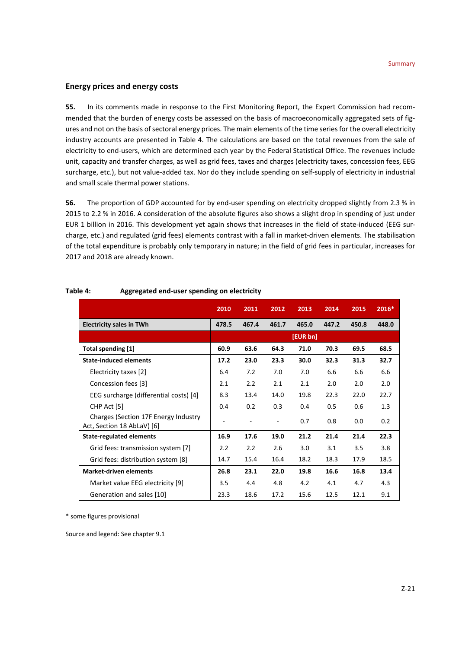#### **Energy prices and energy costs**

**55.** In its comments made in response to the First Monitoring Report, the Expert Commission had recommended that the burden of energy costs be assessed on the basis of macroeconomically aggregated sets of figures and not on the basis of sectoral energy prices. The main elements of the time series for the overall electricity industry accounts are presented in Table 4. The calculations are based on the total revenues from the sale of electricity to end-users, which are determined each year by the Federal Statistical Office. The revenues include unit, capacity and transfer charges, as well as grid fees, taxes and charges (electricity taxes, concession fees, EEG surcharge, etc.), but not value-added tax. Nor do they include spending on self-supply of electricity in industrial and small scale thermal power stations.

**56.** The proportion of GDP accounted for by end-user spending on electricity dropped slightly from 2.3 % in 2015 to 2.2 % in 2016. A consideration of the absolute figures also shows a slight drop in spending of just under EUR 1 billion in 2016. This development yet again shows that increases in the field of state-induced (EEG surcharge, etc.) and regulated (grid fees) elements contrast with a fall in market-driven elements. The stabilisation of the total expenditure is probably only temporary in nature; in the field of grid fees in particular, increases for 2017 and 2018 are already known.

|                                                                    | 2010  | 2011  | 2012                     | 2013     | 2014  | 2015  | 2016* |
|--------------------------------------------------------------------|-------|-------|--------------------------|----------|-------|-------|-------|
| <b>Electricity sales in TWh</b>                                    | 478.5 | 467.4 | 461.7                    | 465.0    | 447.2 | 450.8 | 448.0 |
|                                                                    |       |       |                          | [EUR bn] |       |       |       |
| Total spending [1]                                                 | 60.9  | 63.6  | 64.3                     | 71.0     | 70.3  | 69.5  | 68.5  |
| <b>State-induced elements</b>                                      | 17.2  | 23.0  | 23.3                     | 30.0     | 32.3  | 31.3  | 32.7  |
| Electricity taxes [2]                                              | 6.4   | 7.2   | 7.0                      | 7.0      | 6.6   | 6.6   | 6.6   |
| Concession fees [3]                                                | 2.1   | 2.2   | 2.1                      | 2.1      | 2.0   | 2.0   | 2.0   |
| EEG surcharge (differential costs) [4]                             | 8.3   | 13.4  | 14.0                     | 19.8     | 22.3  | 22.0  | 22.7  |
| CHP Act [5]                                                        | 0.4   | 0.2   | 0.3                      | 0.4      | 0.5   | 0.6   | 1.3   |
| Charges (Section 17F Energy Industry<br>Act, Section 18 AbLaV) [6] |       |       | $\overline{\phantom{a}}$ | 0.7      | 0.8   | 0.0   | 0.2   |
| <b>State-regulated elements</b>                                    | 16.9  | 17.6  | 19.0                     | 21.2     | 21.4  | 21.4  | 22.3  |
| Grid fees: transmission system [7]                                 | 2.2   | 2.2   | 2.6                      | 3.0      | 3.1   | 3.5   | 3.8   |
| Grid fees: distribution system [8]                                 | 14.7  | 15.4  | 16.4                     | 18.2     | 18.3  | 17.9  | 18.5  |
| <b>Market-driven elements</b>                                      | 26.8  | 23.1  | 22.0                     | 19.8     | 16.6  | 16.8  | 13.4  |
| Market value EEG electricity [9]                                   | 3.5   | 4.4   | 4.8                      | 4.2      | 4.1   | 4.7   | 4.3   |
| Generation and sales [10]                                          | 23.3  | 18.6  | 17.2                     | 15.6     | 12.5  | 12.1  | 9.1   |

#### **Table 4: Aggregated end-user spending on electricity**

\* some figures provisional

Source and legend: See chapter 9.1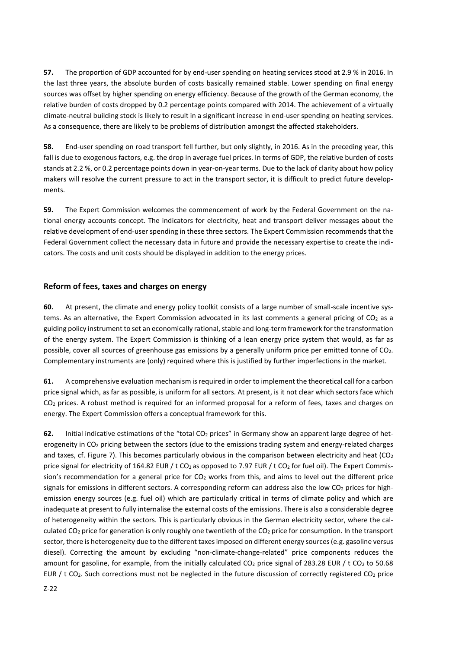**57.** The proportion of GDP accounted for by end-user spending on heating services stood at 2.9 % in 2016. In the last three years, the absolute burden of costs basically remained stable. Lower spending on final energy sources was offset by higher spending on energy efficiency. Because of the growth of the German economy, the relative burden of costs dropped by 0.2 percentage points compared with 2014. The achievement of a virtually climate-neutral building stock is likely to result in a significant increase in end-user spending on heating services. As a consequence, there are likely to be problems of distribution amongst the affected stakeholders.

**58.** End-user spending on road transport fell further, but only slightly, in 2016. As in the preceding year, this fall is due to exogenous factors, e.g. the drop in average fuel prices. In terms of GDP, the relative burden of costs stands at 2.2 %, or 0.2 percentage points down in year-on-year terms. Due to the lack of clarity about how policy makers will resolve the current pressure to act in the transport sector, it is difficult to predict future developments.

**59.** The Expert Commission welcomes the commencement of work by the Federal Government on the national energy accounts concept. The indicators for electricity, heat and transport deliver messages about the relative development of end-user spending in these three sectors. The Expert Commission recommends that the Federal Government collect the necessary data in future and provide the necessary expertise to create the indicators. The costs and unit costs should be displayed in addition to the energy prices.

#### **Reform of fees, taxes and charges on energy**

**60.** At present, the climate and energy policy toolkit consists of a large number of small-scale incentive systems. As an alternative, the Expert Commission advocated in its last comments a general pricing of CO<sub>2</sub> as a guiding policy instrument to set an economically rational, stable and long-term framework for the transformation of the energy system. The Expert Commission is thinking of a lean energy price system that would, as far as possible, cover all sources of greenhouse gas emissions by a generally uniform price per emitted tonne of CO<sub>2</sub>. Complementary instruments are (only) required where this is justified by further imperfections in the market.

**61.** A comprehensive evaluation mechanism is required in order to implement the theoretical call for a carbon price signal which, as far as possible, is uniform for all sectors. At present, is it not clear which sectors face which CO2 prices. A robust method is required for an informed proposal for a reform of fees, taxes and charges on energy. The Expert Commission offers a conceptual framework for this.

**62.** Initial indicative estimations of the "total CO<sub>2</sub> prices" in Germany show an apparent large degree of heterogeneity in CO<sub>2</sub> pricing between the sectors (due to the emissions trading system and energy-related charges and taxes, cf. Figure 7). This becomes particularly obvious in the comparison between electricity and heat ( $CO<sub>2</sub>$ price signal for electricity of 164.82 EUR / t CO<sub>2</sub> as opposed to 7.97 EUR / t CO<sub>2</sub> for fuel oil). The Expert Commission's recommendation for a general price for  $CO<sub>2</sub>$  works from this, and aims to level out the different price signals for emissions in different sectors. A corresponding reform can address also the low  $CO<sub>2</sub>$  prices for highemission energy sources (e.g. fuel oil) which are particularly critical in terms of climate policy and which are inadequate at present to fully internalise the external costs of the emissions. There is also a considerable degree of heterogeneity within the sectors. This is particularly obvious in the German electricity sector, where the calculated CO<sub>2</sub> price for generation is only roughly one twentieth of the CO<sub>2</sub> price for consumption. In the transport sector, there is heterogeneity due to the different taxes imposed on different energy sources (e.g. gasoline versus diesel). Correcting the amount by excluding "non-climate-change-related" price components reduces the amount for gasoline, for example, from the initially calculated  $CO<sub>2</sub>$  price signal of 283.28 EUR / t  $CO<sub>2</sub>$  to 50.68 EUR / t CO<sub>2</sub>. Such corrections must not be neglected in the future discussion of correctly registered CO<sub>2</sub> price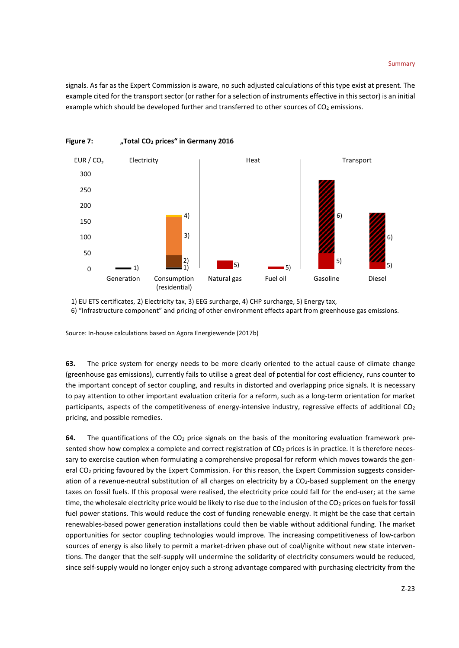signals. As far as the Expert Commission is aware, no such adjusted calculations of this type exist at present. The example cited for the transport sector (or rather for a selection of instruments effective in this sector) is an initial example which should be developed further and transferred to other sources of  $CO<sub>2</sub>$  emissions.



**Figure 7: "Total CO2 prices" in Germany 2016**

1) EU ETS certificates, 2) Electricity tax, 3) EEG surcharge, 4) CHP surcharge, 5) Energy tax, 6) "Infrastructure component" and pricing of other environment effects apart from greenhouse gas emissions.

Source: In-house calculations based on Agora Energiewende (2017b)

**63.** The price system for energy needs to be more clearly oriented to the actual cause of climate change (greenhouse gas emissions), currently fails to utilise a great deal of potential for cost efficiency, runs counter to the important concept of sector coupling, and results in distorted and overlapping price signals. It is necessary to pay attention to other important evaluation criteria for a reform, such as a long-term orientation for market participants, aspects of the competitiveness of energy-intensive industry, regressive effects of additional CO<sub>2</sub> pricing, and possible remedies.

**64.** The quantifications of the CO<sub>2</sub> price signals on the basis of the monitoring evaluation framework presented show how complex a complete and correct registration of  $CO<sub>2</sub>$  prices is in practice. It is therefore necessary to exercise caution when formulating a comprehensive proposal for reform which moves towards the general CO2 pricing favoured by the Expert Commission. For this reason, the Expert Commission suggests consideration of a revenue-neutral substitution of all charges on electricity by a CO2-based supplement on the energy taxes on fossil fuels. If this proposal were realised, the electricity price could fall for the end-user; at the same time, the wholesale electricity price would be likely to rise due to the inclusion of the CO<sub>2</sub> prices on fuels for fossil fuel power stations. This would reduce the cost of funding renewable energy. It might be the case that certain renewables-based power generation installations could then be viable without additional funding. The market opportunities for sector coupling technologies would improve. The increasing competitiveness of low-carbon sources of energy is also likely to permit a market-driven phase out of coal/lignite without new state interventions. The danger that the self-supply will undermine the solidarity of electricity consumers would be reduced, since self-supply would no longer enjoy such a strong advantage compared with purchasing electricity from the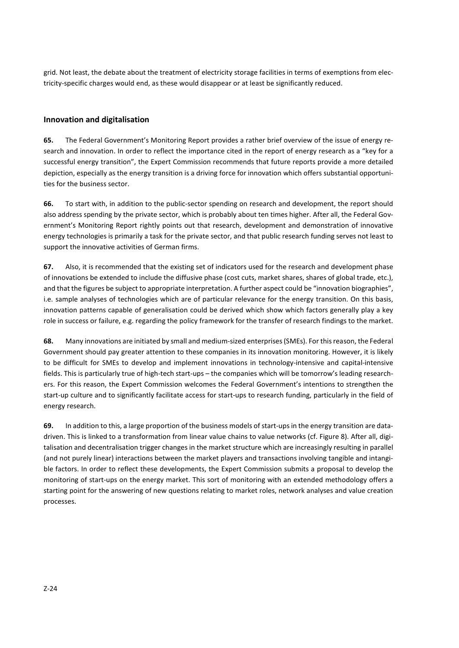grid. Not least, the debate about the treatment of electricity storage facilities in terms of exemptions from electricity-specific charges would end, as these would disappear or at least be significantly reduced.

#### **Innovation and digitalisation**

**65.** The Federal Government's Monitoring Report provides a rather brief overview of the issue of energy research and innovation. In order to reflect the importance cited in the report of energy research as a "key for a successful energy transition", the Expert Commission recommends that future reports provide a more detailed depiction, especially as the energy transition is a driving force for innovation which offers substantial opportunities for the business sector.

**66.** To start with, in addition to the public-sector spending on research and development, the report should also address spending by the private sector, which is probably about ten times higher. After all, the Federal Government's Monitoring Report rightly points out that research, development and demonstration of innovative energy technologies is primarily a task for the private sector, and that public research funding serves not least to support the innovative activities of German firms.

**67.** Also, it is recommended that the existing set of indicators used for the research and development phase of innovations be extended to include the diffusive phase (cost cuts, market shares, shares of global trade, etc.), and that the figures be subject to appropriate interpretation. A further aspect could be "innovation biographies", i.e. sample analyses of technologies which are of particular relevance for the energy transition. On this basis, innovation patterns capable of generalisation could be derived which show which factors generally play a key role in success or failure, e.g. regarding the policy framework for the transfer of research findings to the market.

**68.** Many innovations are initiated by small and medium-sized enterprises (SMEs). For this reason, the Federal Government should pay greater attention to these companies in its innovation monitoring. However, it is likely to be difficult for SMEs to develop and implement innovations in technology-intensive and capital-intensive fields. This is particularly true of high-tech start-ups – the companies which will be tomorrow's leading researchers. For this reason, the Expert Commission welcomes the Federal Government's intentions to strengthen the start-up culture and to significantly facilitate access for start-ups to research funding, particularly in the field of energy research.

**69.** In addition to this, a large proportion of the business models of start-ups in the energy transition are datadriven. This is linked to a transformation from linear value chains to value networks (cf. Figure 8). After all, digitalisation and decentralisation trigger changes in the market structure which are increasingly resulting in parallel (and not purely linear) interactions between the market players and transactions involving tangible and intangible factors. In order to reflect these developments, the Expert Commission submits a proposal to develop the monitoring of start-ups on the energy market. This sort of monitoring with an extended methodology offers a starting point for the answering of new questions relating to market roles, network analyses and value creation processes.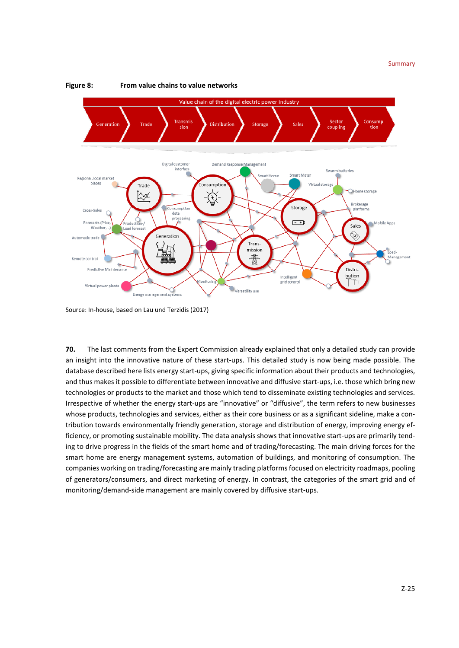#### **Summary**



#### **Figure 8: From value chains to value networks**

Source: In-house, based on Lau und Terzidis (2017)

**70.** The last comments from the Expert Commission already explained that only a detailed study can provide an insight into the innovative nature of these start-ups. This detailed study is now being made possible. The database described here lists energy start-ups, giving specific information about their products and technologies, and thus makes it possible to differentiate between innovative and diffusive start-ups, i.e. those which bring new technologies or products to the market and those which tend to disseminate existing technologies and services. Irrespective of whether the energy start-ups are "innovative" or "diffusive", the term refers to new businesses whose products, technologies and services, either as their core business or as a significant sideline, make a contribution towards environmentally friendly generation, storage and distribution of energy, improving energy efficiency, or promoting sustainable mobility. The data analysis shows that innovative start-ups are primarily tending to drive progress in the fields of the smart home and of trading/forecasting. The main driving forces for the smart home are energy management systems, automation of buildings, and monitoring of consumption. The companies working on trading/forecasting are mainly trading platforms focused on electricity roadmaps, pooling of generators/consumers, and direct marketing of energy. In contrast, the categories of the smart grid and of monitoring/demand-side management are mainly covered by diffusive start-ups.